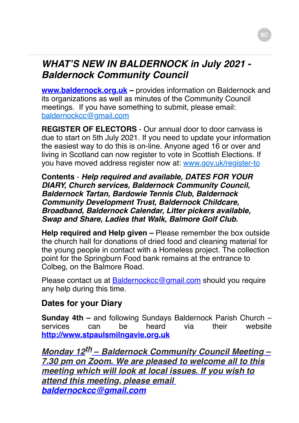### *WHAT'S NEW IN BALDERNOCK in July 2021 - Baldernock Community Council*

**www.baldernock.org.uk** – provides information on Baldernock and its organizations as well as minutes of the Community Council meetings. If you have something to submit, please email: [baldernockcc@gmail.com](mailto:baldernockcc@gmail.com)

**REGISTER OF ELECTORS** - Our annual door to door canvass is due to start on 5th July 2021. If you need to update your information the easiest way to do this is on-line. Anyone aged 16 or over and living in Scotland can now register to vote in Scottish Elections. If you have moved address register now at: [www.gov.uk/register-to](http://www.gov.uk/register-to)

**Contents** - *Help required and available, DATES FOR YOUR DIARY, Church services, Baldernock Community Council, Baldernock Tartan, Bardowie Tennis Club, Baldernock Community Development Trust, Baldernock Childcare, Broadband, Baldernock Calendar, Litter pickers available, Swap and Share, Ladies that Walk, Balmore Golf Club.*

**Help required and Help given –** Please remember the box outside the church hall for donations of dried food and cleaning material for the young people in contact with a Homeless project. The collection point for the Springburn Food bank remains at the entrance to Colbeg, on the Balmore Road.

Please contact us at [Baldernockcc@gmail.com](mailto:Baldernockcc@gmail.com) should you require any help during this time.

### **Dates for your Diary**

**Sunday 4th –** and following Sundays Baldernock Parish Church – services can be heard via their website **[http://www.stpaulsmilngavie.org.uk](http://www.stpaulsmilngavie.org.uk/)**

*Monday 12th*  **–** *Baldernock Community Council Meeting – 7.30 pm on Zoom. We are pleased to welcome all to this meeting which will look at local issues. If you wish to attend this meeting, please email [baldernockcc@gmail.com](mailto:baldernockcc@gmail.com)*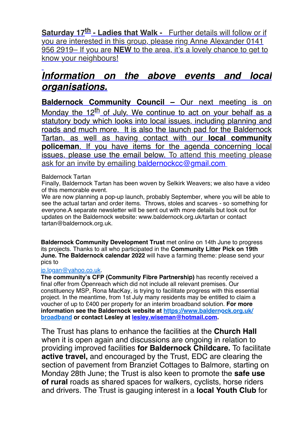**Saturday 17th - Ladies that Walk -** Further details will follow or if you are interested in this group, please ring Anne Alexander 0141 956 2919– If you are **NEW** to the area, it's a lovely chance to get to know your neighbours!

## *Information on the above events and local organisations.*

**Baldernock Community Council –** Our next meeting is on Monday the 12<sup>th</sup> of July. We continue to act on your behalf as a statutory body which looks into local issues, including planning and roads and much more. It is also the launch pad for the Baldernock Tartan, as well as having contact with our **local community policeman**. If you have items for the agenda concerning local issues, please use the email below. To attend this meeting please ask for an invite by emailing [baldernockcc@gmail.com](mailto:baldernockcc@gmail.com)

#### Baldernock Tartan

Finally, Baldernock Tartan has been woven by Selkirk Weavers; we also have a video of this memorable event.

We are now planning a pop-up launch, probably September, where you will be able to see the actual tartan and order items. Throws, stoles and scarves - so something for everyone.A separate newsletter will be sent out with more details but look out for updates on the Baldernock website: www.baldernock.org.uk/tartan or contact tartan@baldernock.org.uk.

**Baldernock Community Development Trust** met online on 14th June to progress [its projects. Thanks to all who](mailto:jp.logan@yahoo.co.uk) participated in the **Community Litter Pick on 19th June. The Baldernock calendar 2022** will have a farming theme: please send your pics to

#### jp.logan@yahoo.co.uk.

**The community's CFP (Community Fibre Partnership)** has recently received a final offer from Openreach which did not include all relevant premises. Our constituency MSP, Rona MacKay, is trying to facilitate progress with this essential project. In the meantime, from 1st July many residents may be entitled to claim a voucher of up to £400 per property for an interim broadband solution. **For more information see the Baldernock [website at https://www.baldernock.o](https://www.baldernock.org.uk/broadband)rg.uk/ broadband or contact [Lesley at lesley.wiseman@hotmail.com](mailto:lesley.wiseman@hotmail.com).**

The Trust has plans to enhance the facilities at the **Church Hall** when it is open again and discussions are ongoing in relation to providing improved facilities **for Baldernock Childcare.** To facilitate **active travel,** and encouraged by the Trust, EDC are clearing the section of pavement from Branziet Cottages to Balmore, starting on Monday 28th June; the Trust is also keen to promote the **safe use of rural** roads as shared spaces for walkers, cyclists, horse riders and drivers. The Trust is gauging interest in a **local Youth Club** for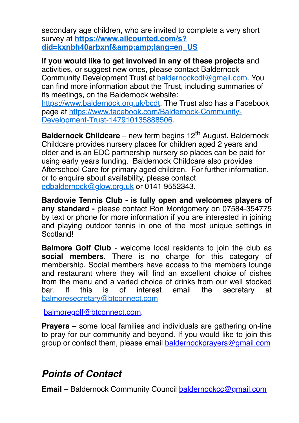secondary age children, who are invited to complete a very short survey at **https://www.allcounted.com/s?** [did=kxnbh40arbxnf&lang=en\\_US](https://www.allcounted.com/s?did=kxnbh40arbxnf&amp;lang=en_US)

**If you would like to get involved in any of these projects** and activities, or suggest new ones, please contact Baldernock Community Development Trust at [baldernockcdt@gmail.com](mailto:baldernockcdt@gmail.com). You can find more information about the Trust, including summaries of its meetings, on the Baldernock website:

[https://www.baldernock.org.uk/bcdt.](https://www.baldernock.org.uk/bcdt) The Trust also has a Facebook [page at https://www.facebook.com/Baldernock-Community-](https://www.facebook.com/Baldernock-Community-Development-Trust-147910135888506)Development-Trust-147910135888506.

**Baldernock Childcare** – new term begins 12<sup>th</sup> August. Baldernock Childcare provides nursery places for children aged 2 years and older and is an EDC partnership nursery so places can be paid for using early years funding. Baldernock Childcare also provides Afterschool Care for primary aged children. For further information, or to enquire about availability, please contact [edbaldernock@glow.org.uk](mailto:edbaldernock@glow.org.uk) or 0141 9552343.

**Bardowie Tennis Club - is fully open and welcomes players of any standard -** please contact Ron Montgomery on 07584-354775 by text or phone for more information if you are interested in joining and playing outdoor tennis in one of the most unique settings in Scotland!

**Balmore Golf Club** - welcome local residents to join the club as **social members**. There is no charge for this category of membership. Social members have access to the members lounge and restaurant where they will find an excellent choice of dishes from the menu and a varied choice of drinks from our well stocked bar. If this is of interest email the secretary at [balmoresecretary@btconnect.com](mailto:balmoresecretary@btconnect.com)

[balmoregolf@btconnect.com.](mailto:balmoregolf@btconnect.com)

**Prayers –** some local families and individuals are gathering on-line to pray for our community and beyond. If you would like to join this group or contact them, please email [baldernockprayers@gmail.com](mailto:baldernockprayers@gmail.com)

# *Points of Contact*

**Email** – Baldernock Community Council [baldernockcc@gmail.com](mailto:baldernockcc@gmail.com)